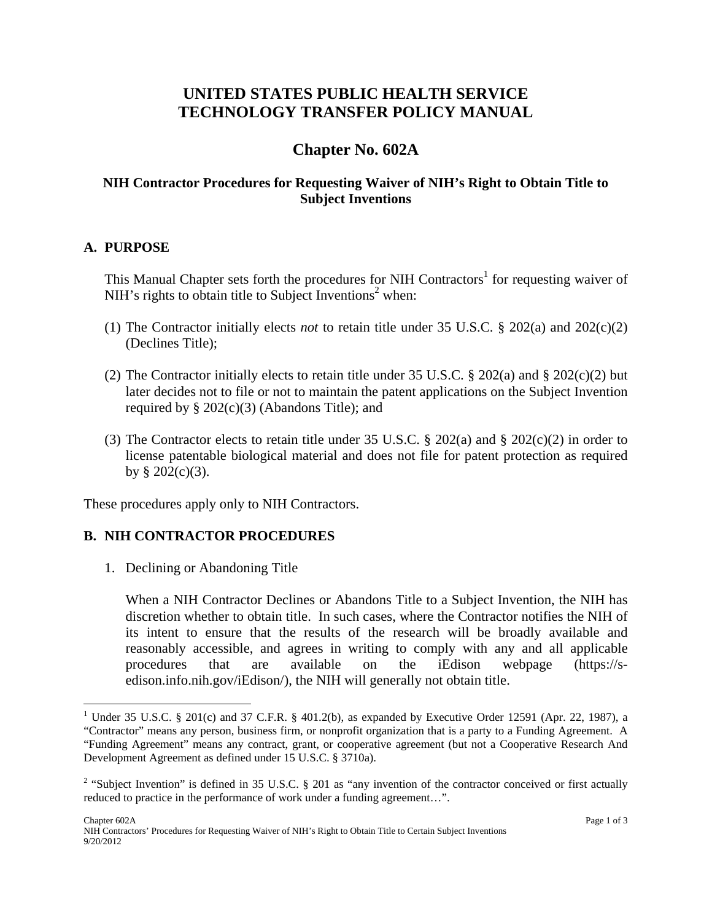# **UNITED STATES PUBLIC HEALTH SERVICE TECHNOLOGY TRANSFER POLICY MANUAL**

# **Chapter No. 602A**

## **NIH Contractor Procedures for Requesting Waiver of NIH's Right to Obtain Title to Subject Inventions**

#### **A. PURPOSE**

 $\overline{a}$ 

This Manual Chapter sets forth the procedures for NIH Contractors<sup>1</sup> for requesting waiver of NIH's rights to obtain title to Subject Inventions<sup>2</sup> when:

- (1) The Contractor initially elects *not* to retain title under 35 U.S.C. § 202(a) and 202(c)(2) (Declines Title);
- (2) The Contractor initially elects to retain title under 35 U.S.C. § 202(a) and § 202(c)(2) but later decides not to file or not to maintain the patent applications on the Subject Invention required by  $\S 202(c)(3)$  (Abandons Title); and
- (3) The Contractor elects to retain title under 35 U.S.C.  $\S 202(a)$  and  $\S 202(c)(2)$  in order to license patentable biological material and does not file for patent protection as required by  $§ 202(c)(3)$ .

These procedures apply only to NIH Contractors.

### **B. NIH CONTRACTOR PROCEDURES**

1. Declining or Abandoning Title

When a NIH Contractor Declines or Abandons Title to a Subject Invention, the NIH has discretion whether to obtain title. In such cases, where the Contractor notifies the NIH of its intent to ensure that the results of the research will be broadly available and reasonably accessible, and agrees in writing to comply with any and all applicable procedures that are available on the iEdison webpage (https://sedison.info.nih.gov/iEdison/), the NIH will generally not obtain title.

<sup>&</sup>lt;sup>1</sup> Under 35 U.S.C. § 201(c) and 37 C.F.R. § 401.2(b), as expanded by Executive Order 12591 (Apr. 22, 1987), a "Contractor" means any person, business firm, or nonprofit organization that is a party to a Funding Agreement. A "Funding Agreement" means any contract, grant, or cooperative agreement (but not a Cooperative Research And Development Agreement as defined under 15 U.S.C. § 3710a).

<sup>&</sup>lt;sup>2</sup> "Subject Invention" is defined in 35 U.S.C. § 201 as "any invention of the contractor conceived or first actually reduced to practice in the performance of work under a funding agreement…".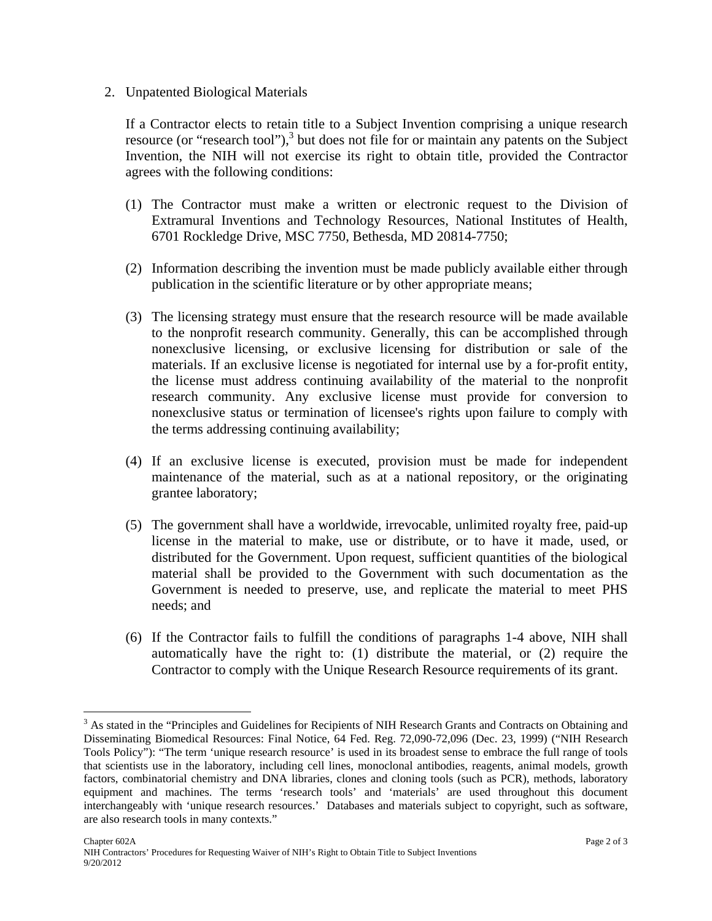#### 2. Unpatented Biological Materials

If a Contractor elects to retain title to a Subject Invention comprising a unique research resource (or "research tool"),<sup>3</sup> but does not file for or maintain any patents on the Subject Invention, the NIH will not exercise its right to obtain title, provided the Contractor agrees with the following conditions:

- (1) The Contractor must make a written or electronic request to the Division of Extramural Inventions and Technology Resources, National Institutes of Health, 6701 Rockledge Drive, MSC 7750, Bethesda, MD 20814-7750;
- (2) Information describing the invention must be made publicly available either through publication in the scientific literature or by other appropriate means;
- (3) The licensing strategy must ensure that the research resource will be made available to the nonprofit research community. Generally, this can be accomplished through nonexclusive licensing, or exclusive licensing for distribution or sale of the materials. If an exclusive license is negotiated for internal use by a for-profit entity, the license must address continuing availability of the material to the nonprofit research community. Any exclusive license must provide for conversion to nonexclusive status or termination of licensee's rights upon failure to comply with the terms addressing continuing availability;
- (4) If an exclusive license is executed, provision must be made for independent maintenance of the material, such as at a national repository, or the originating grantee laboratory;
- (5) The government shall have a worldwide, irrevocable, unlimited royalty free, paid-up license in the material to make, use or distribute, or to have it made, used, or distributed for the Government. Upon request, sufficient quantities of the biological material shall be provided to the Government with such documentation as the Government is needed to preserve, use, and replicate the material to meet PHS needs; and
- (6) If the Contractor fails to fulfill the conditions of paragraphs 1-4 above, NIH shall automatically have the right to: (1) distribute the material, or (2) require the Contractor to comply with the Unique Research Resource requirements of its grant.

 $\overline{a}$ 

<sup>&</sup>lt;sup>3</sup> As stated in the "Principles and Guidelines for Recipients of NIH Research Grants and Contracts on Obtaining and Disseminating Biomedical Resources: Final Notice, 64 Fed. Reg. 72,090-72,096 (Dec. 23, 1999) ("NIH Research Tools Policy"): "The term 'unique research resource' is used in its broadest sense to embrace the full range of tools that scientists use in the laboratory, including cell lines, monoclonal antibodies, reagents, animal models, growth factors, combinatorial chemistry and DNA libraries, clones and cloning tools (such as PCR), methods, laboratory equipment and machines. The terms 'research tools' and 'materials' are used throughout this document interchangeably with 'unique research resources.' Databases and materials subject to copyright, such as software, are also research tools in many contexts."